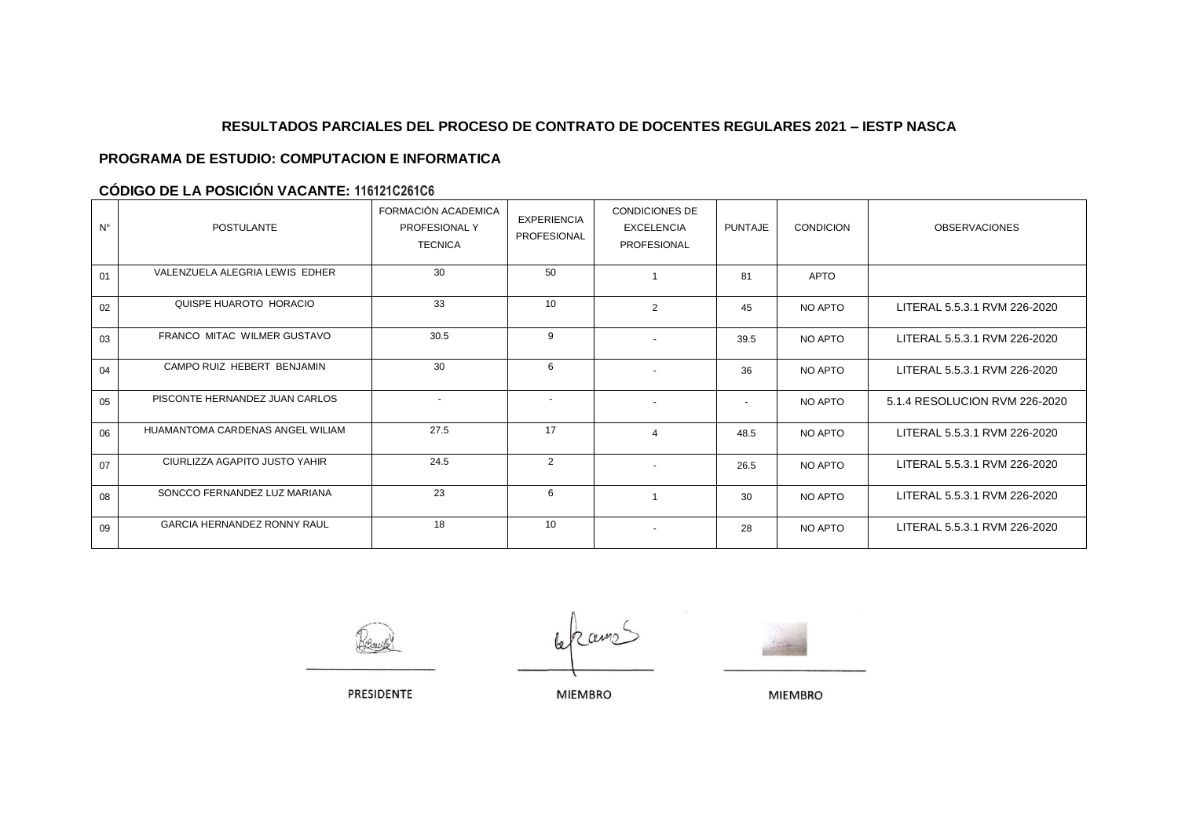#### **RESULTADOS PARCIALES DEL PROCESO DE CONTRATO DE DOCENTES REGULARES 2021 – IESTP NASCA**

#### **PROGRAMA DE ESTUDIO: COMPUTACION E INFORMATICA**

#### **CÓDIGO DE LA POSICIÓN VACANTE: 116121C261C6**

| N°             | <b>POSTULANTE</b>                  | FORMACIÓN ACADEMICA<br>PROFESIONAL Y<br><b>TECNICA</b> | <b>EXPERIENCIA</b><br>PROFESIONAL | <b>CONDICIONES DE</b><br><b>EXCELENCIA</b><br><b>PROFESIONAL</b> | <b>PUNTAJE</b>           | <b>CONDICION</b> | <b>OBSERVACIONES</b>          |
|----------------|------------------------------------|--------------------------------------------------------|-----------------------------------|------------------------------------------------------------------|--------------------------|------------------|-------------------------------|
| 01             | VALENZUELA ALEGRIA LEWIS EDHER     | 30                                                     | 50                                |                                                                  | 81                       | <b>APTO</b>      |                               |
| 02             | QUISPE HUAROTO HORACIO             | 33                                                     | 10                                | $\overline{2}$                                                   | 45                       | NO APTO          | LITERAL 5.5.3.1 RVM 226-2020  |
| 03             | FRANCO MITAC WILMER GUSTAVO        | 30.5                                                   | 9                                 |                                                                  | 39.5                     | NO APTO          | LITERAL 5.5.3.1 RVM 226-2020  |
| 04             | CAMPO RUIZ HEBERT BENJAMIN         | 30                                                     | 6                                 | $\sim$                                                           | 36                       | NO APTO          | LITERAL 5.5.3.1 RVM 226-2020  |
| 0 <sub>5</sub> | PISCONTE HERNANDEZ JUAN CARLOS     | $\sim$                                                 | $\sim$                            |                                                                  | $\overline{\phantom{a}}$ | NO APTO          | 5.1.4 RESOLUCION RVM 226-2020 |
| 06             | HUAMANTOMA CARDENAS ANGEL WILIAM   | 27.5                                                   | 17                                | $\overline{a}$                                                   | 48.5                     | NO APTO          | LITERAL 5.5.3.1 RVM 226-2020  |
| 07             | CIURLIZZA AGAPITO JUSTO YAHIR      | 24.5                                                   | 2                                 |                                                                  | 26.5                     | NO APTO          | LITERAL 5.5.3.1 RVM 226-2020  |
| 08             | SONCCO FERNANDEZ LUZ MARIANA       | 23                                                     | 6                                 |                                                                  | 30                       | NO APTO          | LITERAL 5.5.3.1 RVM 226-2020  |
| 09             | <b>GARCIA HERNANDEZ RONNY RAUL</b> | 18                                                     | 10                                | $\blacksquare$                                                   | 28                       | NO APTO          | LITERAL 5.5.3.1 RVM 226-2020  |

PRESIDENTE

**MIEMBRO**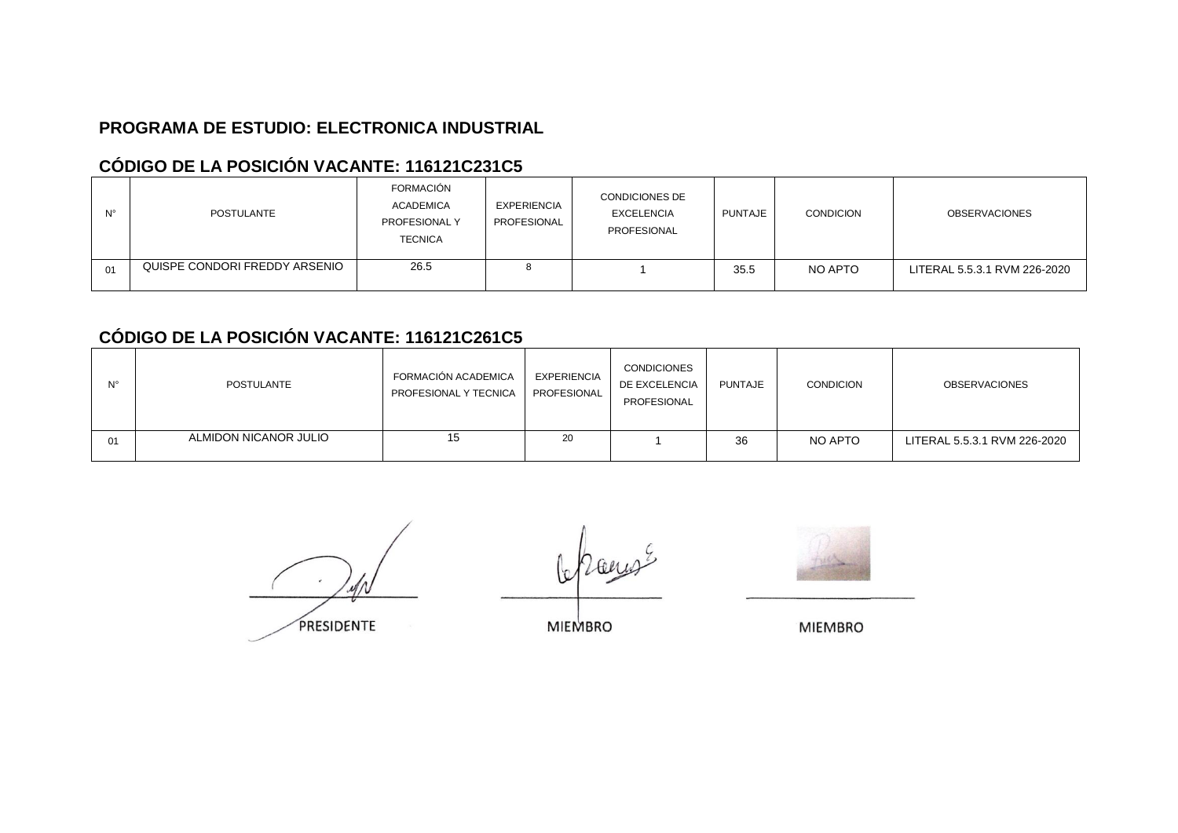#### **PROGRAMA DE ESTUDIO: ELECTRONICA INDUSTRIAL**

## **CÓDIGO DE LA POSICIÓN VACANTE: 116121C231C5**

| N° | POSTULANTE                    | FORMACIÓN<br><b>ACADEMICA</b><br>PROFESIONAL Y<br><b>TECNICA</b> | EXPERIENCIA<br>PROFESIONAL | <b>CONDICIONES DE</b><br><b>EXCELENCIA</b><br>PROFESIONAL | PUNTAJE | <b>CONDICION</b> | <b>OBSERVACIONES</b>         |
|----|-------------------------------|------------------------------------------------------------------|----------------------------|-----------------------------------------------------------|---------|------------------|------------------------------|
| 01 | QUISPE CONDORI FREDDY ARSENIO | 26.5                                                             |                            |                                                           | 35.5    | NO APTO          | LITERAL 5.5.3.1 RVM 226-2020 |

## **CÓDIGO DE LA POSICIÓN VACANTE: 116121C261C5**

| N° | POSTULANTE            | FORMACIÓN ACADEMICA<br>PROFESIONAL Y TECNICA | EXPERIENCIA<br>PROFESIONAL | <b>CONDICIONES</b><br>DE EXCELENCIA<br>PROFESIONAL | <b>PUNTAJE</b> | <b>CONDICION</b> | <b>OBSERVACIONES</b>         |
|----|-----------------------|----------------------------------------------|----------------------------|----------------------------------------------------|----------------|------------------|------------------------------|
| 01 | ALMIDON NICANOR JULIO | 15                                           | 20                         |                                                    | 36             | NO APTO          | LITERAL 5.5.3.1 RVM 226-2020 |

PRESIDENTE

**MIEMBRO**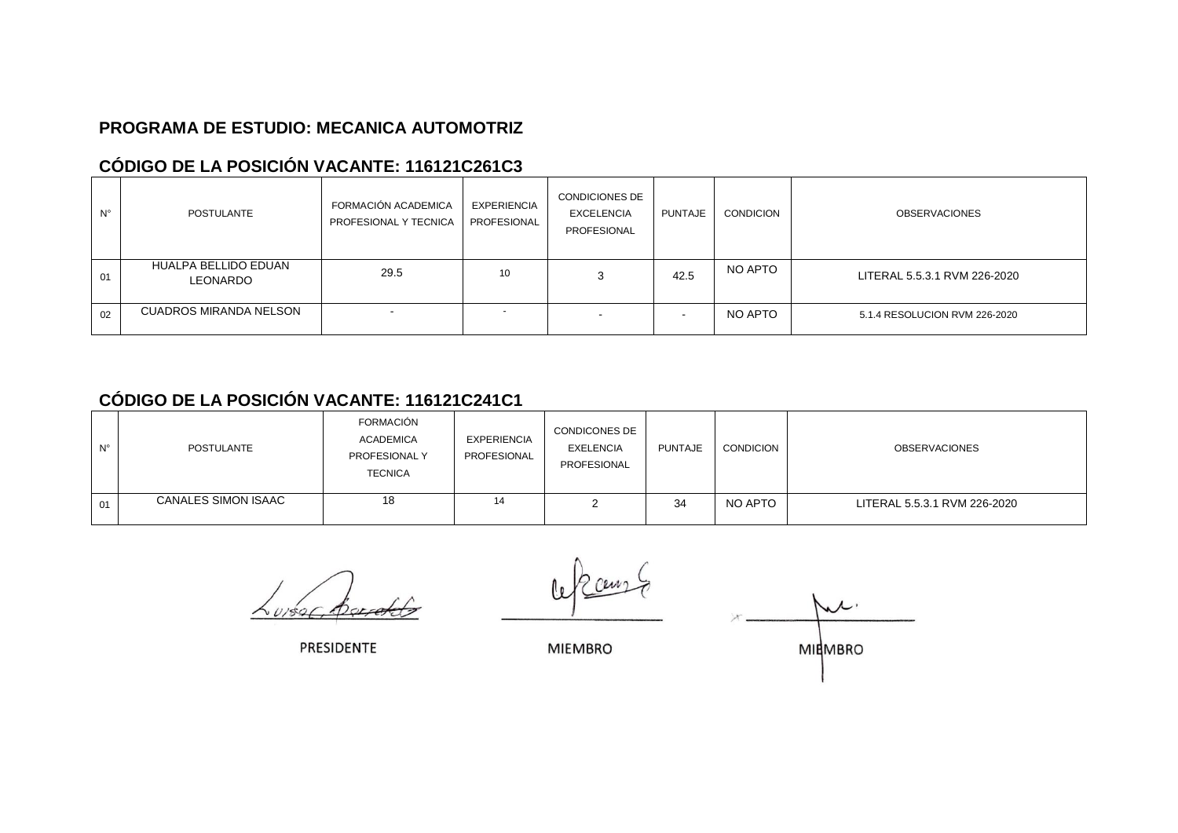#### **PROGRAMA DE ESTUDIO: MECANICA AUTOMOTRIZ**

## **CÓDIGO DE LA POSICIÓN VACANTE: 116121C261C3**

| $N^{\circ}$ | <b>POSTULANTE</b>                       | FORMACIÓN ACADEMICA<br>PROFESIONAL Y TECNICA | EXPERIENCIA<br>PROFESIONAL | <b>CONDICIONES DE</b><br><b>EXCELENCIA</b><br>PROFESIONAL | PUNTAJE | <b>CONDICION</b> | <b>OBSERVACIONES</b>          |
|-------------|-----------------------------------------|----------------------------------------------|----------------------------|-----------------------------------------------------------|---------|------------------|-------------------------------|
| 01          | HUALPA BELLIDO EDUAN<br><b>LEONARDO</b> | 29.5                                         | 10                         | 3                                                         | 42.5    | NO APTO          | LITERAL 5.5.3.1 RVM 226-2020  |
| 02          | <b>CUADROS MIRANDA NELSON</b>           |                                              |                            | $\overline{\phantom{a}}$                                  |         | NO APTO          | 5.1.4 RESOLUCION RVM 226-2020 |

### **CÓDIGO DE LA POSICIÓN VACANTE: 116121C241C1**

| N° | POSTULANTE                 | FORMACIÓN<br><b>ACADEMICA</b><br>PROFESIONAL Y<br><b>TECNICA</b> | EXPERIENCIA<br>PROFESIONAL | <b>CONDICONES DE</b><br><b>EXELENCIA</b><br>PROFESIONAL | <b>PUNTAJE</b> | <b>CONDICION</b> | <b>OBSERVACIONES</b>         |
|----|----------------------------|------------------------------------------------------------------|----------------------------|---------------------------------------------------------|----------------|------------------|------------------------------|
| 01 | <b>CANALES SIMON ISAAC</b> | 18                                                               | 14                         |                                                         | 34             | NO APTO          | LITERAL 5.5.3.1 RVM 226-2020 |

A cen

PRESIDENTE

**MIEMBRO** 

 $\mathcal{L}$ **MIRMBRO**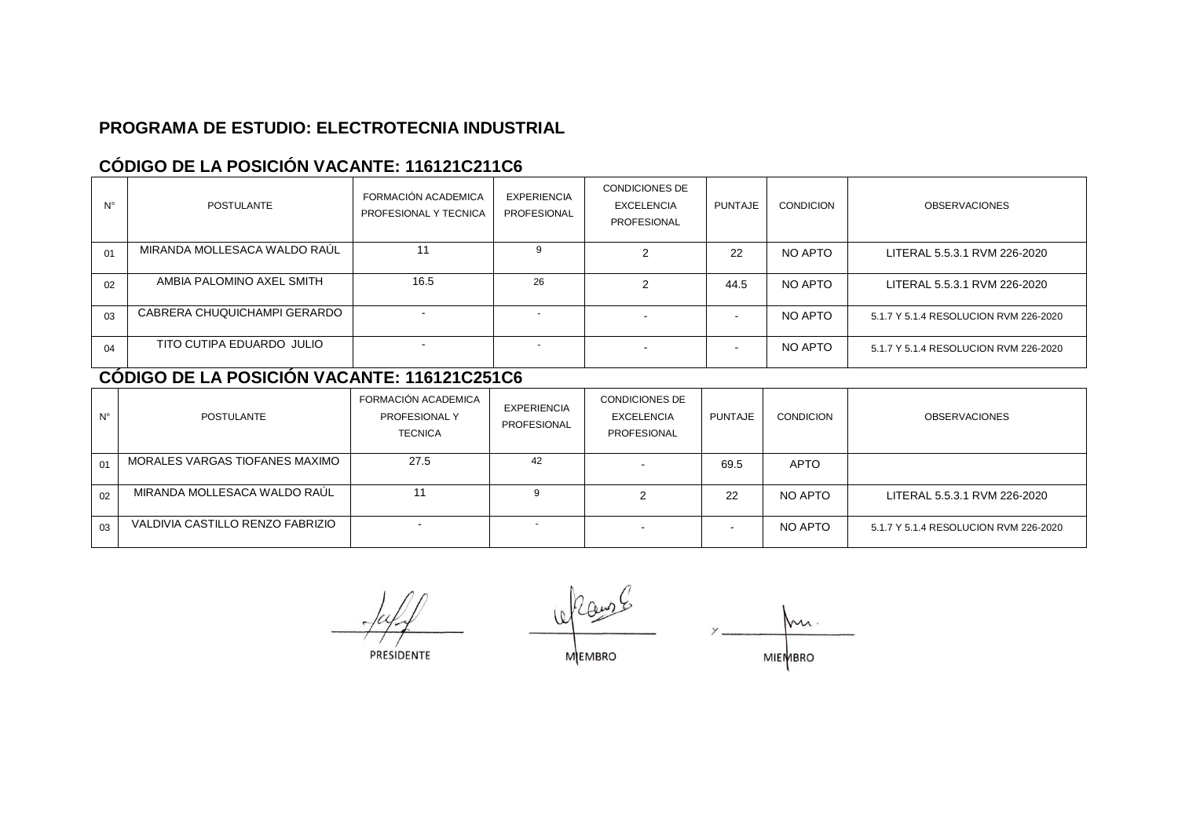#### **PROGRAMA DE ESTUDIO: ELECTROTECNIA INDUSTRIAL**

## **CÓDIGO DE LA POSICIÓN VACANTE: 116121C211C6**

| $N^{\circ}$ | <b>POSTULANTE</b>            | FORMACIÓN ACADEMICA<br>PROFESIONAL Y TECNICA | <b>EXPERIENCIA</b><br>PROFESIONAL | <b>CONDICIONES DE</b><br><b>EXCELENCIA</b><br>PROFESIONAL | <b>PUNTAJE</b> | <b>CONDICION</b> | <b>OBSERVACIONES</b>                  |
|-------------|------------------------------|----------------------------------------------|-----------------------------------|-----------------------------------------------------------|----------------|------------------|---------------------------------------|
| 01          | MIRANDA MOLLESACA WALDO RAUL |                                              |                                   | $\sim$                                                    | 22             | NO APTO          | LITERAL 5.5.3.1 RVM 226-2020          |
| 02          | AMBIA PALOMINO AXEL SMITH    | 16.5                                         | 26                                |                                                           | 44.5           | NO APTO          | LITERAL 5.5.3.1 RVM 226-2020          |
| 03          | CABRERA CHUQUICHAMPI GERARDO |                                              | $\overline{\phantom{a}}$          |                                                           |                | NO APTO          | 5.1.7 Y 5.1.4 RESOLUCION RVM 226-2020 |
| 04          | TITO CUTIPA EDUARDO JULIO    |                                              | -                                 | . .                                                       |                | NO APTO          | 5.1.7 Y 5.1.4 RESOLUCION RVM 226-2020 |

#### **CÓDIGO DE LA POSICIÓN VACANTE: 116121C251C6**

| $N^{\circ}$ | POSTULANTE                       | FORMACIÓN ACADEMICA<br><b>PROFESIONAL Y</b><br><b>TECNICA</b> | EXPERIENCIA<br>PROFESIONAL | <b>CONDICIONES DE</b><br>EXCELENCIA<br>PROFESIONAL | PUNTAJE | <b>CONDICION</b> | <b>OBSERVACIONES</b>                  |
|-------------|----------------------------------|---------------------------------------------------------------|----------------------------|----------------------------------------------------|---------|------------------|---------------------------------------|
| 01          | MORALES VARGAS TIOFANES MAXIMO   | 27.5                                                          | 42                         |                                                    | 69.5    | <b>APTO</b>      |                                       |
| 02          | MIRANDA MOLLESACA WALDO RAUL     |                                                               |                            |                                                    | 22      | NO APTO          | LITERAL 5.5.3.1 RVM 226-2020          |
| 03          | VALDIVIA CASTILLO RENZO FABRIZIO |                                                               |                            |                                                    |         | NO APTO          | 5.1.7 Y 5.1.4 RESOLUCION RVM 226-2020 |

**PRESIDENTE** 

jekans **MEMBRO** 

M. **MIEMBRO**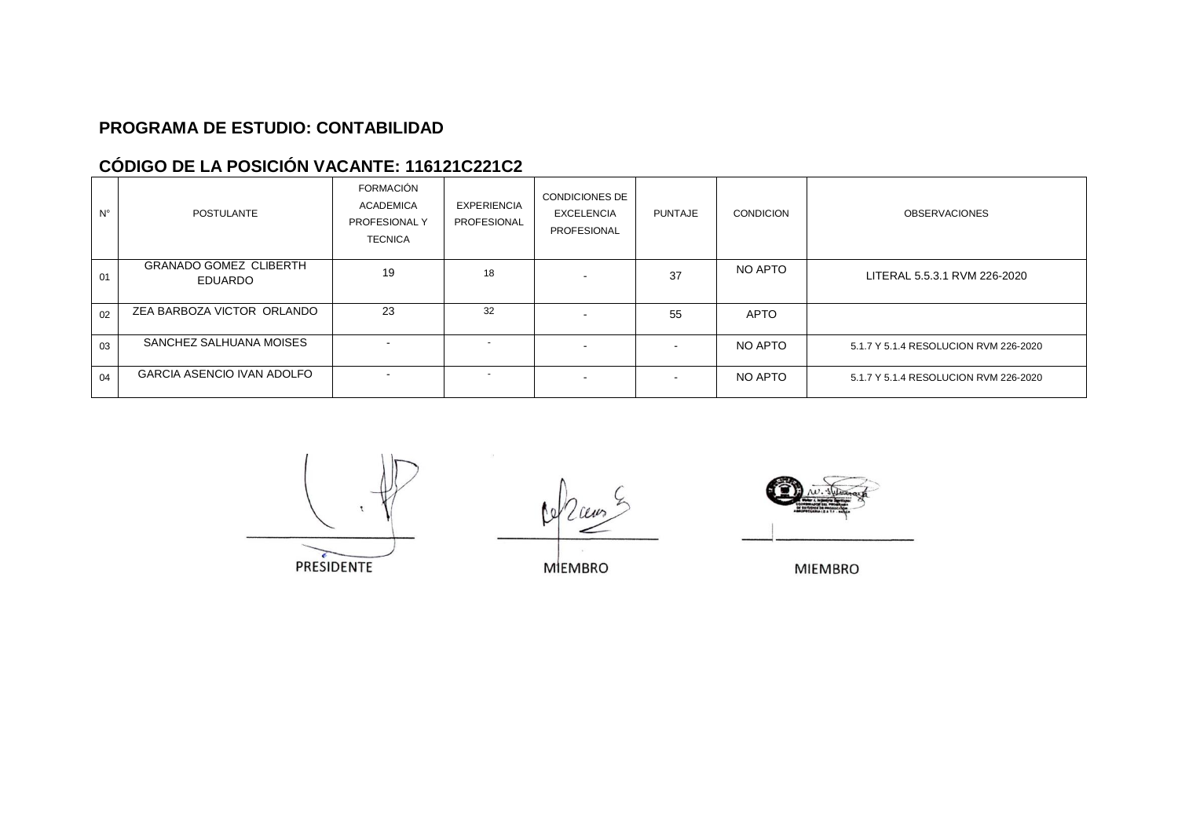### **PROGRAMA DE ESTUDIO: CONTABILIDAD**

# **CÓDIGO DE LA POSICIÓN VACANTE: 116121C221C2**

| $N^{\circ}$ | <b>POSTULANTE</b>                               | <b>FORMACIÓN</b><br><b>ACADEMICA</b><br>PROFESIONAL Y<br><b>TECNICA</b> | <b>EXPERIENCIA</b><br><b>PROFESIONAL</b> | <b>CONDICIONES DE</b><br><b>EXCELENCIA</b><br>PROFESIONAL | <b>PUNTAJE</b> | <b>CONDICION</b> | <b>OBSERVACIONES</b>                  |
|-------------|-------------------------------------------------|-------------------------------------------------------------------------|------------------------------------------|-----------------------------------------------------------|----------------|------------------|---------------------------------------|
| 01          | <b>GRANADO GOMEZ CLIBERTH</b><br><b>EDUARDO</b> | 19                                                                      | 18                                       |                                                           | 37             | NO APTO          | LITERAL 5.5.3.1 RVM 226-2020          |
| 02          | ZEA BARBOZA VICTOR ORLANDO                      | 23                                                                      | 32                                       |                                                           | 55             | APTO             |                                       |
| 03          | SANCHEZ SALHUANA MOISES                         |                                                                         |                                          |                                                           |                | NO APTO          | 5.1.7 Y 5.1.4 RESOLUCION RVM 226-2020 |
| 04          | <b>GARCIA ASENCIO IVAN ADOLFO</b>               |                                                                         | $\overline{a}$                           |                                                           |                | NO APTO          | 5.1.7 Y 5.1.4 RESOLUCION RVM 226-2020 |

PRESIDENTE

**MIEMBRO** 

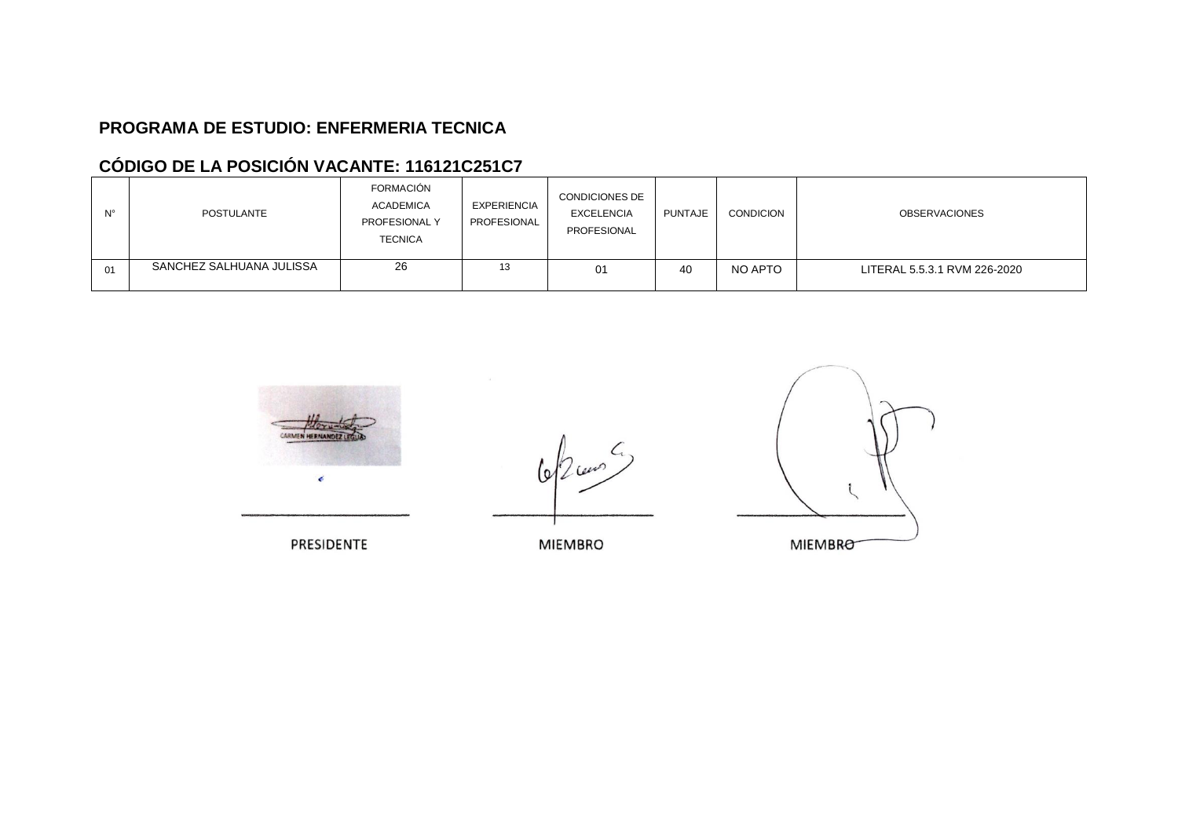#### **PROGRAMA DE ESTUDIO: ENFERMERIA TECNICA**

## **CÓDIGO DE LA POSICIÓN VACANTE: 116121C251C7**

| $N^{\circ}$ | POSTULANTE               | FORMACIÓN<br><b>ACADEMICA</b><br>PROFESIONAL Y<br><b>TECNICA</b> | EXPERIENCIA<br>PROFESIONAL | <b>CONDICIONES DE</b><br><b>EXCELENCIA</b><br>PROFESIONAL | PUNTAJE | <b>CONDICION</b> | <b>OBSERVACIONES</b>         |
|-------------|--------------------------|------------------------------------------------------------------|----------------------------|-----------------------------------------------------------|---------|------------------|------------------------------|
| 01          | SANCHEZ SALHUANA JULISSA | 26                                                               |                            | 01                                                        | 40      | NO APTO          | LITERAL 5.5.3.1 RVM 226-2020 |

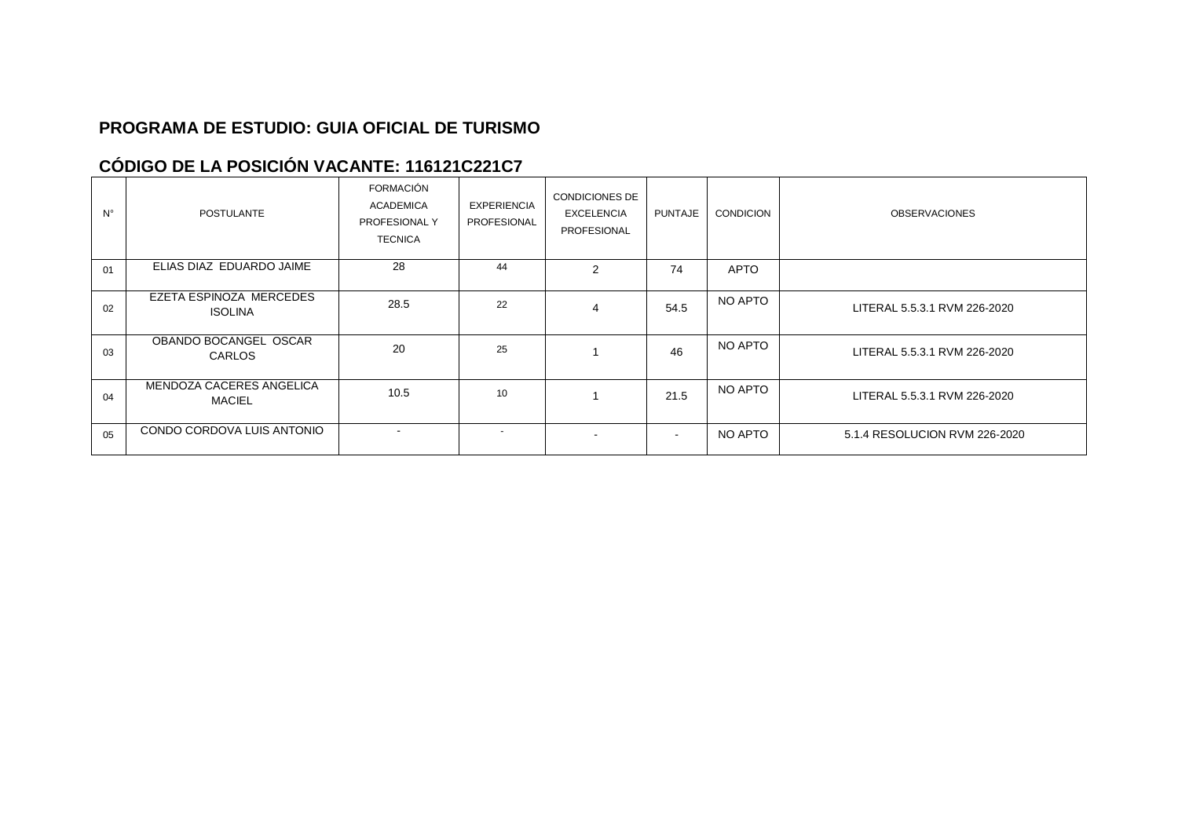### **PROGRAMA DE ESTUDIO: GUIA OFICIAL DE TURISMO**

# **CÓDIGO DE LA POSICIÓN VACANTE: 116121C221C7**

| $N^{\circ}$ | <b>POSTULANTE</b>                         | <b>FORMACIÓN</b><br><b>ACADEMICA</b><br>PROFESIONAL Y<br><b>TECNICA</b> | EXPERIENCIA<br><b>PROFESIONAL</b> | <b>CONDICIONES DE</b><br><b>EXCELENCIA</b><br>PROFESIONAL | <b>PUNTAJE</b> | <b>CONDICION</b> | <b>OBSERVACIONES</b>          |
|-------------|-------------------------------------------|-------------------------------------------------------------------------|-----------------------------------|-----------------------------------------------------------|----------------|------------------|-------------------------------|
| 01          | ELIAS DIAZ EDUARDO JAIME                  | 28                                                                      | 44                                | $\mathcal{P}$                                             | 74             | <b>APTO</b>      |                               |
| 02          | EZETA ESPINOZA MERCEDES<br><b>ISOLINA</b> | 28.5                                                                    | 22                                | 4                                                         | 54.5           | NO APTO          | LITERAL 5.5.3.1 RVM 226-2020  |
| 03          | OBANDO BOCANGEL OSCAR<br><b>CARLOS</b>    | 20                                                                      | 25                                |                                                           | 46             | NO APTO          | LITERAL 5.5.3.1 RVM 226-2020  |
| 04          | MENDOZA CACERES ANGELICA<br><b>MACIEL</b> | 10.5                                                                    | 10                                |                                                           | 21.5           | NO APTO          | LITERAL 5.5.3.1 RVM 226-2020  |
| 05          | CONDO CORDOVA LUIS ANTONIO                |                                                                         | $\sim$                            |                                                           | $\blacksquare$ | NO APTO          | 5.1.4 RESOLUCION RVM 226-2020 |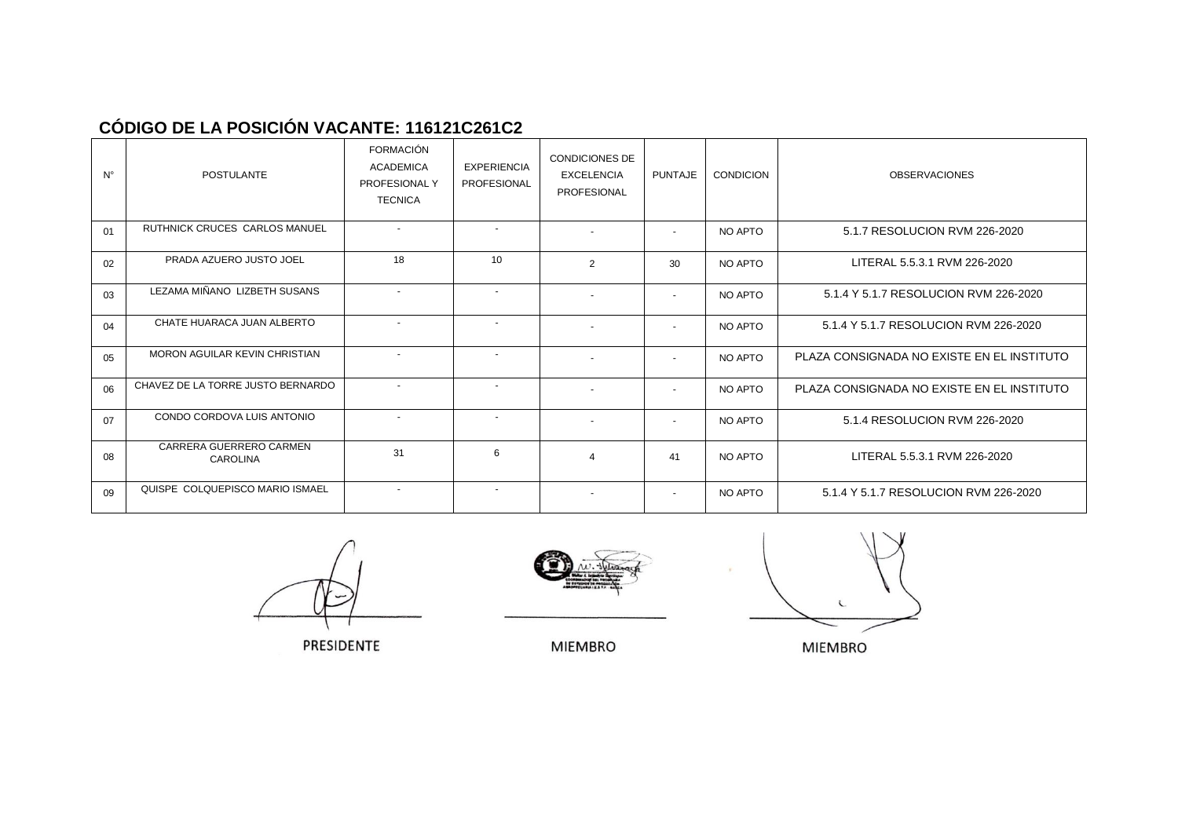# **CÓDIGO DE LA POSICIÓN VACANTE: 116121C261C2**

| $N^{\circ}$ | <b>POSTULANTE</b>                          | <b>FORMACIÓN</b><br><b>ACADEMICA</b><br>PROFESIONAL Y<br><b>TECNICA</b> | <b>EXPERIENCIA</b><br>PROFESIONAL | <b>CONDICIONES DE</b><br><b>EXCELENCIA</b><br><b>PROFESIONAL</b> | <b>PUNTAJE</b>           | <b>CONDICION</b> | <b>OBSERVACIONES</b>                       |
|-------------|--------------------------------------------|-------------------------------------------------------------------------|-----------------------------------|------------------------------------------------------------------|--------------------------|------------------|--------------------------------------------|
| 01          | <b>RUTHNICK CRUCES CARLOS MANUEL</b>       |                                                                         | $\overline{\phantom{a}}$          | $\sim$                                                           | $\sim$                   | NO APTO          | 5.1.7 RESOLUCION RVM 226-2020              |
| 02          | PRADA AZUERO JUSTO JOEL                    | 18                                                                      | 10                                | $\overline{2}$                                                   | 30                       | NO APTO          | LITERAL 5.5.3.1 RVM 226-2020               |
| 03          | LEZAMA MIÑANO LIZBETH SUSANS               | $\sim$                                                                  | $\sim$                            | $\sim$                                                           | $\overline{\phantom{a}}$ | NO APTO          | 5.1.4 Y 5.1.7 RESOLUCION RVM 226-2020      |
| 04          | CHATE HUARACA JUAN ALBERTO                 |                                                                         | $\sim$                            |                                                                  | ٠                        | NO APTO          | 5.1.4 Y 5.1.7 RESOLUCION RVM 226-2020      |
| 05          | <b>MORON AGUILAR KEVIN CHRISTIAN</b>       | $\sim$                                                                  | $\sim$                            |                                                                  | $\overline{\phantom{a}}$ | NO APTO          | PLAZA CONSIGNADA NO EXISTE EN EL INSTITUTO |
| 06          | CHAVEZ DE LA TORRE JUSTO BERNARDO          |                                                                         | $\sim$                            |                                                                  | $\sim$                   | NO APTO          | PLAZA CONSIGNADA NO EXISTE EN EL INSTITUTO |
| 07          | CONDO CORDOVA LUIS ANTONIO                 | $\sim$                                                                  | $\sim$                            |                                                                  | $\blacksquare$           | NO APTO          | 5.1.4 RESOLUCION RVM 226-2020              |
| 08          | CARRERA GUERRERO CARMEN<br><b>CAROLINA</b> | 31                                                                      | 6                                 | $\Delta$                                                         | 41                       | NO APTO          | LITERAL 5.5.3.1 RVM 226-2020               |
| 09          | QUISPE COLQUEPISCO MARIO ISMAEL            | $\sim$                                                                  | $\sim$                            |                                                                  | $\sim$                   | NO APTO          | 5.1.4 Y 5.1.7 RESOLUCION RVM 226-2020      |

PRESIDENTE



 $\mathcal{L}$ 

**MIEMBRO**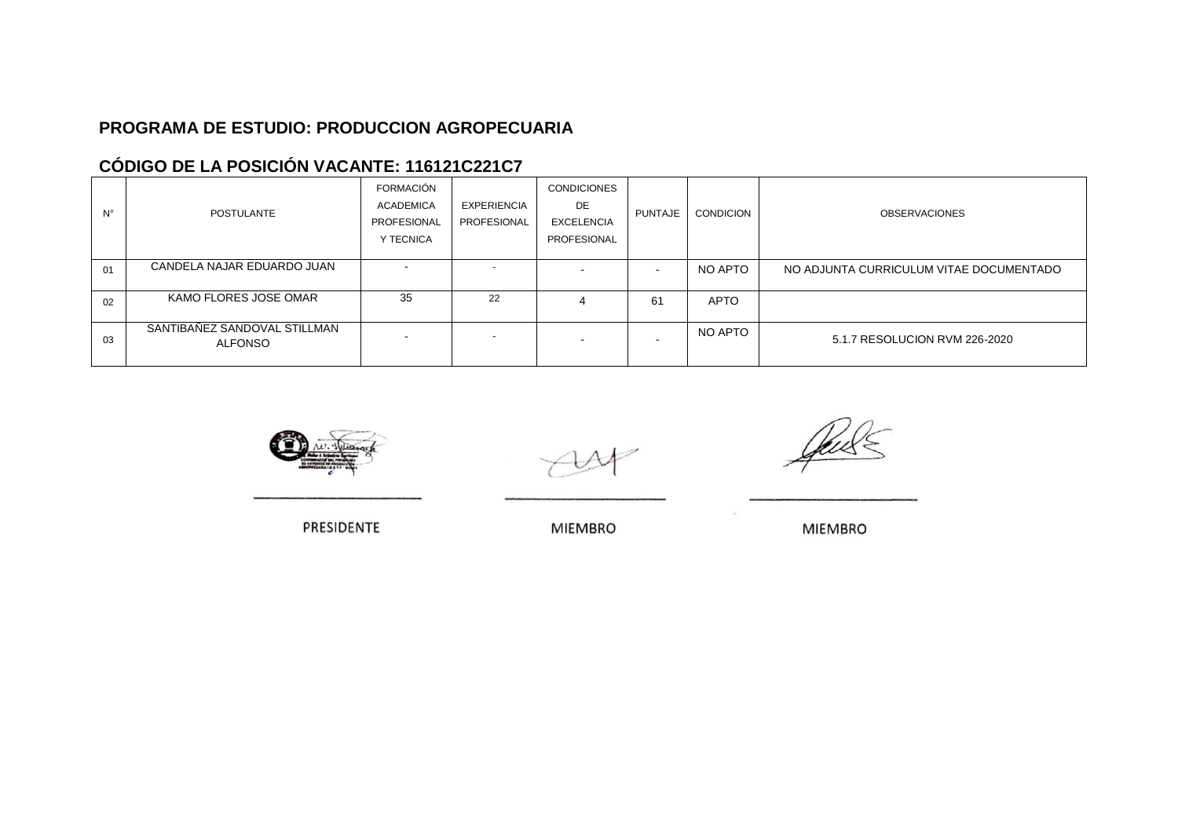#### **PROGRAMA DE ESTUDIO: PRODUCCION AGROPECUARIA**

## **CÓDIGO DE LA POSICIÓN VACANTE: 116121C221C7**

| $N^{\circ}$ | <b>POSTULANTE</b>                              | <b>FORMACIÓN</b><br><b>ACADEMICA</b><br>PROFESIONAL<br>Y TECNICA | <b>EXPERIENCIA</b><br>PROFESIONAL | <b>CONDICIONES</b><br>DE.<br><b>EXCELENCIA</b><br>PROFESIONAL | <b>PUNTAJE</b>           | <b>CONDICION</b> | <b>OBSERVACIONES</b>                    |
|-------------|------------------------------------------------|------------------------------------------------------------------|-----------------------------------|---------------------------------------------------------------|--------------------------|------------------|-----------------------------------------|
| 01          | CANDELA NAJAR EDUARDO JUAN                     |                                                                  |                                   |                                                               | $\overline{\phantom{0}}$ | NO APTO          | NO ADJUNTA CURRICULUM VITAE DOCUMENTADO |
| 02          | KAMO FLORES JOSE OMAR                          | 35                                                               | 22                                |                                                               | 61                       | <b>APTO</b>      |                                         |
| 03          | SANTIBAÑEZ SANDOVAL STILLMAN<br><b>ALFONSO</b> |                                                                  |                                   |                                                               | -                        | NO APTO          | 5.1.7 RESOLUCION RVM 226-2020           |

PRESIDENTE

**MIEMBRO** 

**MIEMBRO**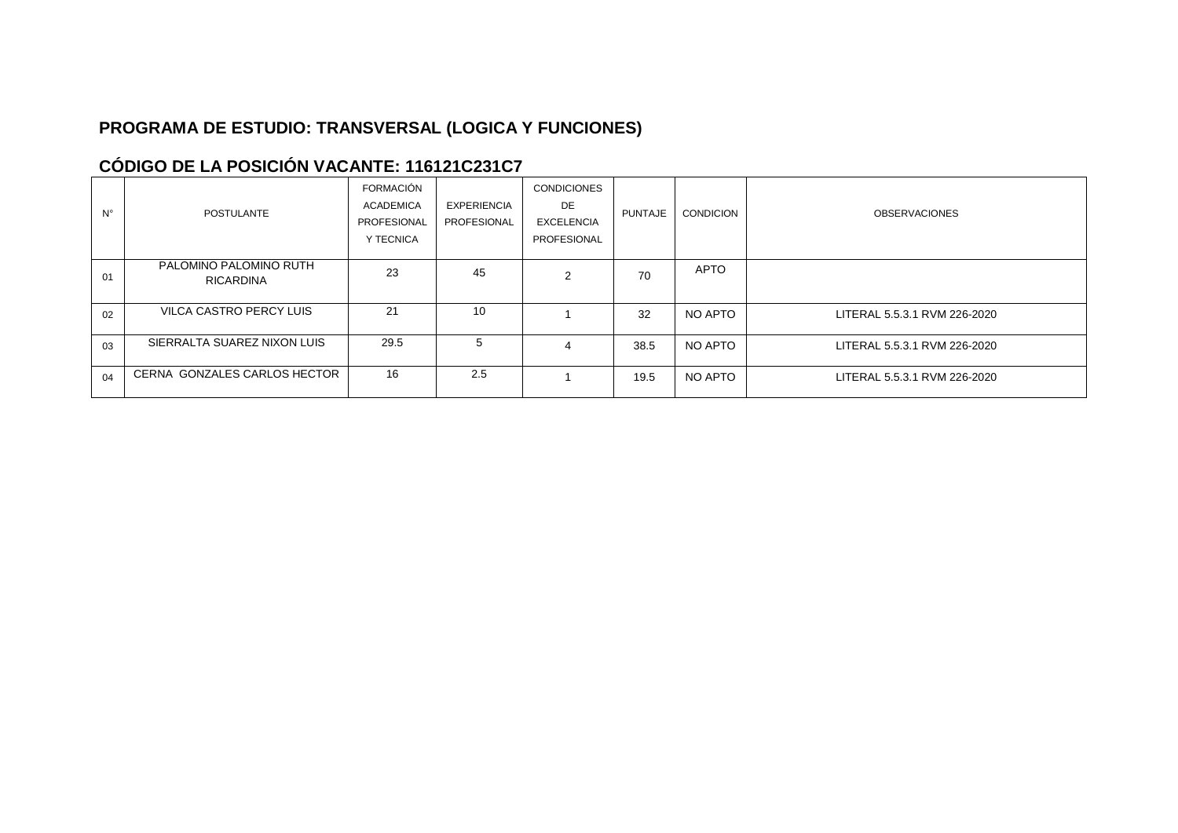# **PROGRAMA DE ESTUDIO: TRANSVERSAL (LOGICA Y FUNCIONES)**

# **CÓDIGO DE LA POSICIÓN VACANTE: 116121C231C7**

| $N^{\circ}$ | <b>POSTULANTE</b>                          | <b>FORMACIÓN</b><br><b>ACADEMICA</b><br>PROFESIONAL<br>Y TECNICA | EXPERIENCIA<br>PROFESIONAL | <b>CONDICIONES</b><br>DE<br><b>EXCELENCIA</b><br>PROFESIONAL | PUNTAJE | <b>CONDICION</b> | <b>OBSERVACIONES</b>         |
|-------------|--------------------------------------------|------------------------------------------------------------------|----------------------------|--------------------------------------------------------------|---------|------------------|------------------------------|
| 01          | PALOMINO PALOMINO RUTH<br><b>RICARDINA</b> | 23                                                               | 45                         | 2                                                            | 70      | <b>APTO</b>      |                              |
| 02          | VILCA CASTRO PERCY LUIS                    | 21                                                               | 10                         |                                                              | 32      | NO APTO          | LITERAL 5.5.3.1 RVM 226-2020 |
| 03          | SIERRALTA SUAREZ NIXON LUIS                | 29.5                                                             |                            | 4                                                            | 38.5    | NO APTO          | LITERAL 5.5.3.1 RVM 226-2020 |
| 04          | CERNA GONZALES CARLOS HECTOR               | 16                                                               | 2.5                        |                                                              | 19.5    | NO APTO          | LITERAL 5.5.3.1 RVM 226-2020 |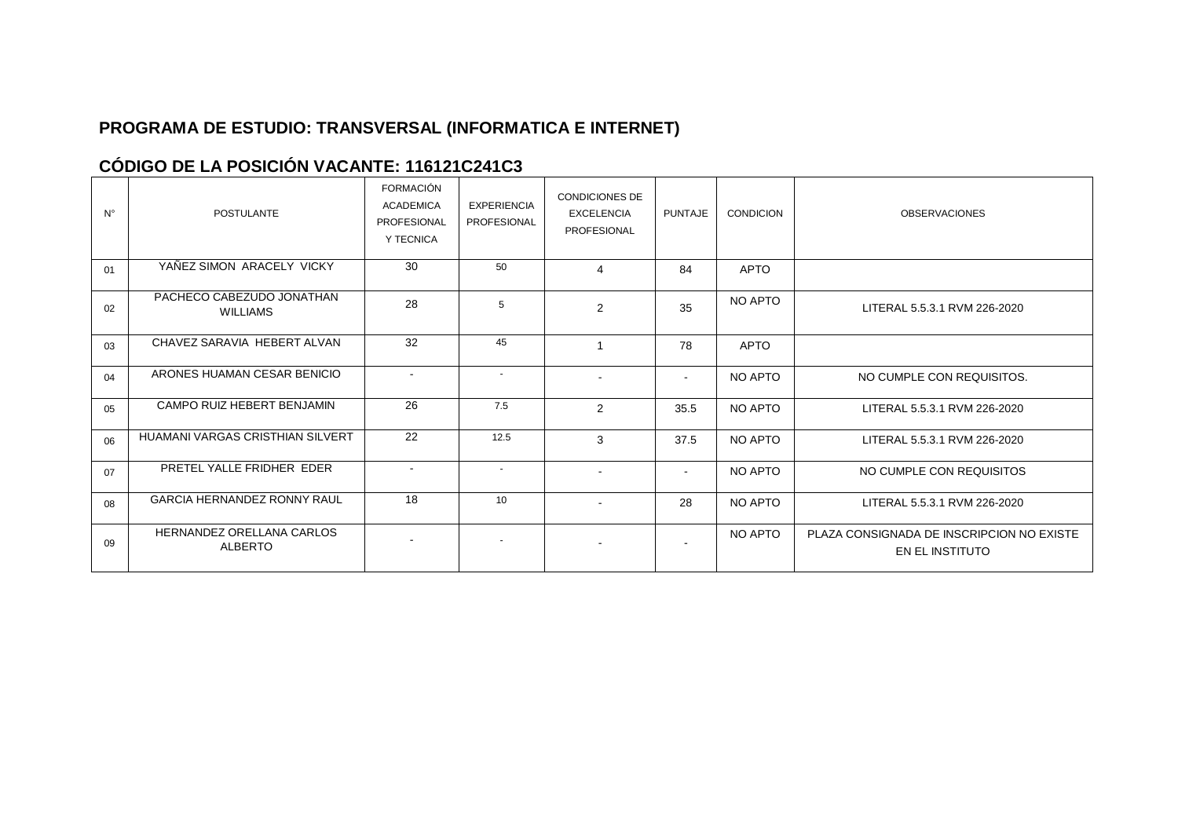## **PROGRAMA DE ESTUDIO: TRANSVERSAL (INFORMATICA E INTERNET)**

# **CÓDIGO DE LA POSICIÓN VACANTE: 116121C241C3**

| $N^{\circ}$ | <b>POSTULANTE</b>                            | <b>FORMACIÓN</b><br><b>ACADEMICA</b><br>PROFESIONAL<br>Y TECNICA | <b>EXPERIENCIA</b><br><b>PROFESIONAL</b> | <b>CONDICIONES DE</b><br><b>EXCELENCIA</b><br><b>PROFESIONAL</b> | <b>PUNTAJE</b> | <b>CONDICION</b> | <b>OBSERVACIONES</b>                                         |
|-------------|----------------------------------------------|------------------------------------------------------------------|------------------------------------------|------------------------------------------------------------------|----------------|------------------|--------------------------------------------------------------|
| 01          | YAÑEZ SIMON ARACELY VICKY                    | 30                                                               | 50                                       | 4                                                                | 84             | <b>APTO</b>      |                                                              |
| 02          | PACHECO CABEZUDO JONATHAN<br><b>WILLIAMS</b> | 28                                                               | 5                                        | $\mathcal{P}$                                                    | 35             | NO APTO          | LITERAL 5.5.3.1 RVM 226-2020                                 |
| 03          | CHAVEZ SARAVIA HEBERT ALVAN                  | 32                                                               | 45                                       |                                                                  | 78             | <b>APTO</b>      |                                                              |
| 04          | ARONES HUAMAN CESAR BENICIO                  | $\overline{\phantom{a}}$                                         | $\sim$                                   |                                                                  | $\blacksquare$ | NO APTO          | NO CUMPLE CON REQUISITOS.                                    |
| 05          | CAMPO RUIZ HEBERT BENJAMIN                   | 26                                                               | 7.5                                      | $\overline{2}$                                                   | 35.5           | NO APTO          | LITERAL 5.5.3.1 RVM 226-2020                                 |
| 06          | HUAMANI VARGAS CRISTHIAN SILVERT             | 22                                                               | 12.5                                     | 3                                                                | 37.5           | NO APTO          | LITERAL 5.5.3.1 RVM 226-2020                                 |
| 07          | PRETEL YALLE FRIDHER EDER                    |                                                                  | $\sim$                                   |                                                                  | $\blacksquare$ | NO APTO          | NO CUMPLE CON REQUISITOS                                     |
| 08          | <b>GARCIA HERNANDEZ RONNY RAUL</b>           | 18                                                               | 10                                       |                                                                  | 28             | NO APTO          | LITERAL 5.5.3.1 RVM 226-2020                                 |
| 09          | HERNANDEZ ORELLANA CARLOS<br><b>ALBERTO</b>  |                                                                  | $\sim$                                   |                                                                  | $\sim$         | NO APTO          | PLAZA CONSIGNADA DE INSCRIPCION NO EXISTE<br>EN EL INSTITUTO |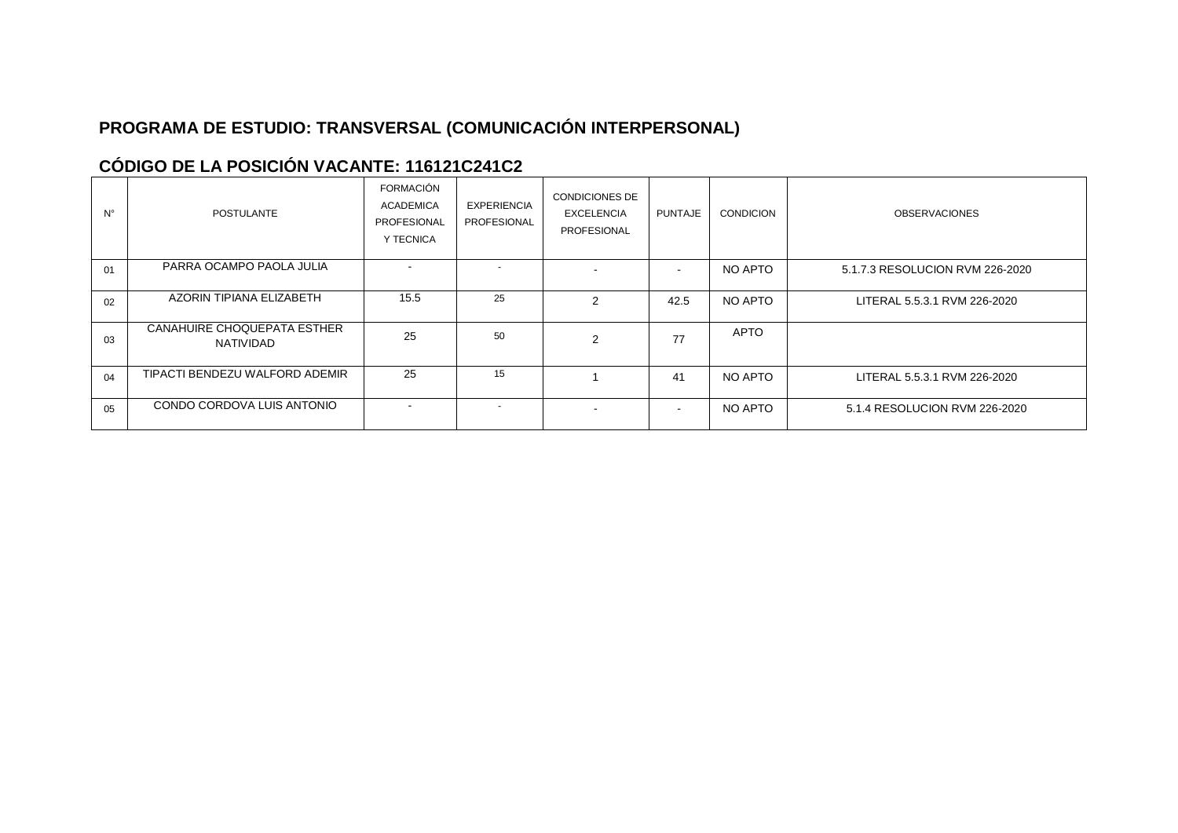# **PROGRAMA DE ESTUDIO: TRANSVERSAL (COMUNICACIÓN INTERPERSONAL)**

## **CÓDIGO DE LA POSICIÓN VACANTE: 116121C241C2**

| $N^{\circ}$    | <b>POSTULANTE</b>                        | FORMACIÓN<br><b>ACADEMICA</b><br><b>PROFESIONAL</b><br>Y TECNICA | <b>EXPERIENCIA</b><br><b>PROFESIONAL</b> | <b>CONDICIONES DE</b><br><b>EXCELENCIA</b><br><b>PROFESIONAL</b> | PUNTAJE                  | CONDICION   | <b>OBSERVACIONES</b>            |
|----------------|------------------------------------------|------------------------------------------------------------------|------------------------------------------|------------------------------------------------------------------|--------------------------|-------------|---------------------------------|
| 01             | PARRA OCAMPO PAOLA JULIA                 | ۰.                                                               | $\sim$                                   |                                                                  | $\overline{\phantom{0}}$ | NO APTO     | 5.1.7.3 RESOLUCION RVM 226-2020 |
| 02             | AZORIN TIPIANA ELIZABETH                 | 15.5                                                             | 25                                       | $\mathcal{P}$                                                    | 42.5                     | NO APTO     | LITERAL 5.5.3.1 RVM 226-2020    |
| 03             | CANAHUIRE CHOQUEPATA ESTHER<br>NATIVIDAD | 25                                                               | 50                                       | $\mathcal{P}$                                                    | 77                       | <b>APTO</b> |                                 |
| 04             | TIPACTI BENDEZU WALFORD ADEMIR           | 25                                                               | 15                                       |                                                                  | 41                       | NO APTO     | LITERAL 5.5.3.1 RVM 226-2020    |
| 0 <sub>5</sub> | CONDO CORDOVA LUIS ANTONIO               |                                                                  | $\overline{\phantom{a}}$                 |                                                                  | $\overline{\phantom{0}}$ | NO APTO     | 5.1.4 RESOLUCION RVM 226-2020   |